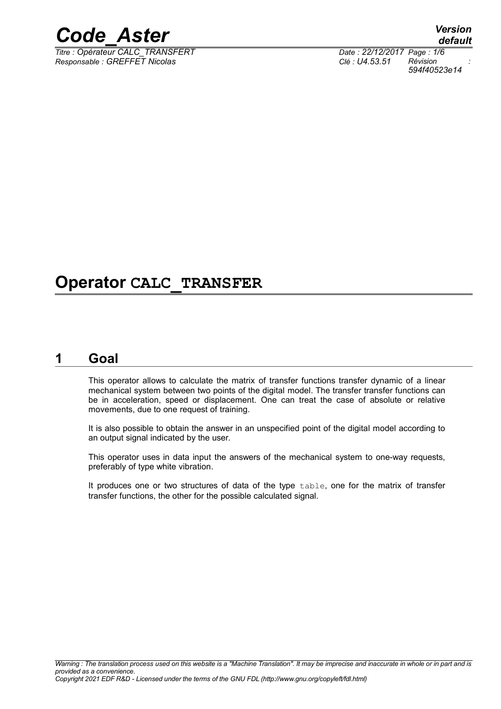

*Titre : Opérateur CALC\_TRANSFERT Date : 22/12/2017 Page : 1/6 Responsable : GREFFET Nicolas Clé : U4.53.51 Révision :*

*default 594f40523e14*

## **Operator CALC\_TRANSFER**

### **1 Goal**

This operator allows to calculate the matrix of transfer functions transfer dynamic of a linear mechanical system between two points of the digital model. The transfer transfer functions can be in acceleration, speed or displacement. One can treat the case of absolute or relative movements, due to one request of training.

It is also possible to obtain the answer in an unspecified point of the digital model according to an output signal indicated by the user.

This operator uses in data input the answers of the mechanical system to one-way requests, preferably of type white vibration.

It produces one or two structures of data of the type table, one for the matrix of transfer transfer functions, the other for the possible calculated signal.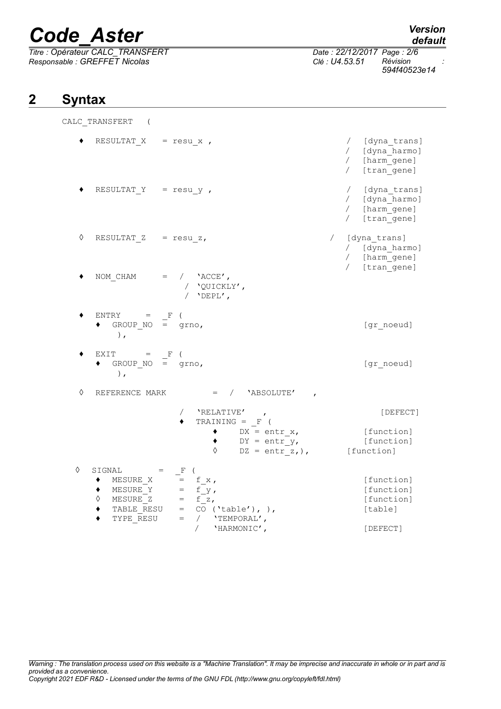*Titre : Opérateur CALC\_TRANSFERT Date : 22/12/2017 Page : 2/6 Responsable : GREFFET Nicolas Clé : U4.53.51 Révision :*

## *default*

*594f40523e14*

## **2 Syntax**

CALC\_TRANSFERT (

|   | RESULTAT $X = resu x$ ,                                                                              |                                                                                                                            | [dyna trans]<br>/ [dyna_harmo]<br>/ [harm_gene]<br>/ [tran_gene]   |
|---|------------------------------------------------------------------------------------------------------|----------------------------------------------------------------------------------------------------------------------------|--------------------------------------------------------------------|
|   | RESULTAT $Y = resu y$ ,                                                                              |                                                                                                                            | / [dyna trans]<br>/ [dyna_harmo]<br>/ [harm_gene]<br>/ [tran_gene] |
| ♦ | RESULTAT $Z = \text{resu } z,$                                                                       |                                                                                                                            | / [dyna trans]<br>/ [dyna_harmo]<br>/ [harm_gene]<br>/ [tran_gene] |
|   |                                                                                                      | NOM CHAM = $/$ 'ACCE',<br>/ 'QUICKLY',<br>/ $'$ DEPL',                                                                     |                                                                    |
|   | $ENTRY = F$ (<br>GROUP $NO = grnO$ ,<br>$\,$ ,                                                       |                                                                                                                            | [gr noeud]                                                         |
|   | $EXIT = F$<br>$\bullet$ GROUP NO = grno,<br>$\,$ ,                                                   |                                                                                                                            | [gr noeud]                                                         |
| ♦ |                                                                                                      | REFERENCE MARK $=$ / $'$ ABSOLUTE'                                                                                         |                                                                    |
|   |                                                                                                      | / 'RELATIVE',                                                                                                              | [DEFECT]                                                           |
|   |                                                                                                      | TRAINING = $_F$ (<br>$DX = entr x,$<br>$DY = entr y,$<br>$DZ = entr z,$ ),<br>♦                                            | [function]<br>[function]<br>[function]                             |
| ♦ | $SICNAL =$<br>MESURE X<br>MESURE Y<br>MESURE <sup>-</sup> Z<br>$\Diamond$<br>TABLE RESU<br>TYPE RESU | F (<br>$=$ f x,<br>$=$ $f_y$ ,<br>$=$ $f_2$ ,<br>$=$ CO ('table'), ),<br>$=$<br>/ 'TEMPORAL',<br>$\sqrt{2}$<br>'HARMONIC', | [function]<br>[function]<br>[function]<br>[table]<br>[DEFECT]      |
|   |                                                                                                      |                                                                                                                            |                                                                    |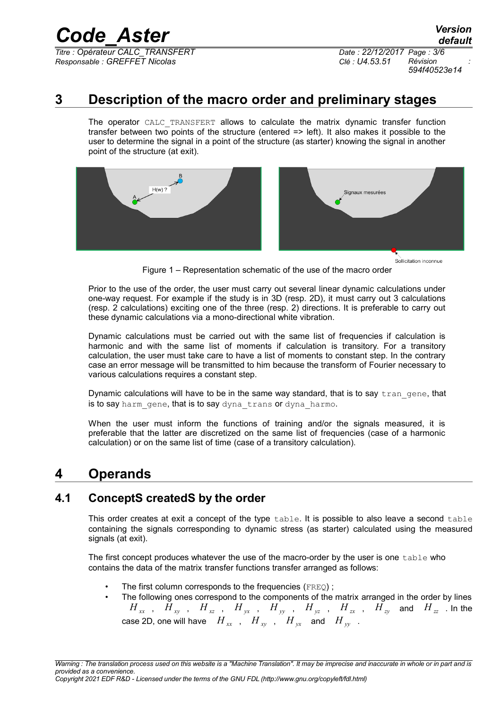*Titre : Opérateur CALC\_TRANSFERT Date : 22/12/2017 Page : 3/6 Responsable : GREFFET Nicolas Clé : U4.53.51 Révision :*

*594f40523e14*

### **3 Description of the macro order and preliminary stages**

The operator CALC TRANSFERT allows to calculate the matrix dynamic transfer function transfer between two points of the structure (entered => left). It also makes it possible to the user to determine the signal in a point of the structure (as starter) knowing the signal in another point of the structure (at exit).



Sollicitation inconnue

Figure 1 – Representation schematic of the use of the macro order

Prior to the use of the order, the user must carry out several linear dynamic calculations under one-way request. For example if the study is in 3D (resp. 2D), it must carry out 3 calculations (resp. 2 calculations) exciting one of the three (resp. 2) directions. It is preferable to carry out these dynamic calculations via a mono-directional white vibration.

Dynamic calculations must be carried out with the same list of frequencies if calculation is harmonic and with the same list of moments if calculation is transitory. For a transitory calculation, the user must take care to have a list of moments to constant step. In the contrary case an error message will be transmitted to him because the transform of Fourier necessary to various calculations requires a constant step.

Dynamic calculations will have to be in the same way standard, that is to say  $tran$  gene, that is to say harm gene, that is to say dyna trans or dyna harmo.

When the user must inform the functions of training and/or the signals measured, it is preferable that the latter are discretized on the same list of frequencies (case of a harmonic calculation) or on the same list of time (case of a transitory calculation).

### **4 Operands**

#### **4.1 ConceptS createdS by the order**

This order creates at exit a concept of the type table. It is possible to also leave a second table containing the signals corresponding to dynamic stress (as starter) calculated using the measured signals (at exit).

The first concept produces whatever the use of the macro-order by the user is one table who contains the data of the matrix transfer functions transfer arranged as follows:

- The first column corresponds to the frequencies (FREQ);
- The following ones correspond to the components of the matrix arranged in the order by lines  $H_{xx}$ ,  $H_{xy}$ ,  $H_{xz}$ ,  $H_{yx}$ ,  $H_{yy}$ ,  $H_{yz}$ ,  $H_{zx}$ ,  $H_{zy}$  and  $H_{zz}$  . In the case 2D, one will have  $H_{xx}$ ,  $H_{xy}$ ,  $H_{yx}$  and  $H_{yy}$ .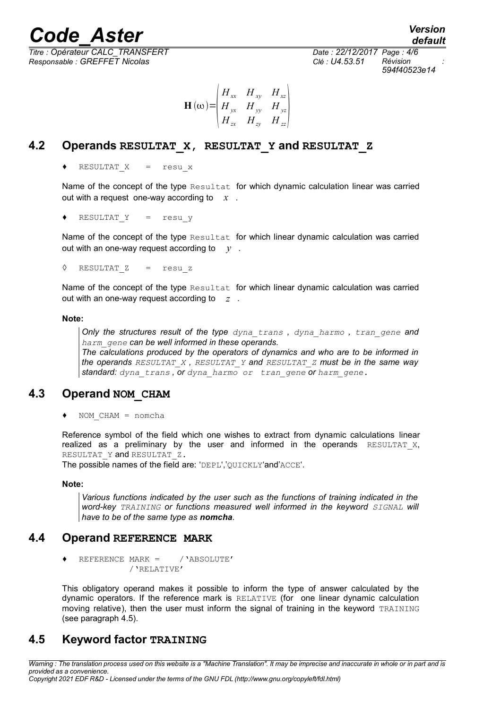*Titre : Opérateur CALC\_TRANSFERT Date : 22/12/2017 Page : 4/6*

*Responsable : GREFFET Nicolas Clé : U4.53.51 Révision : 594f40523e14*

$$
\mathbf{H}(\omega) = \begin{vmatrix} H_{xx} & H_{xy} & H_{xz} \\ H_{yx} & H_{yy} & H_{yz} \\ H_{zx} & H_{zy} & H_{zz} \end{vmatrix}
$$

#### **4.2 Operands RESULTAT\_X, RESULTAT\_Y and RESULTAT\_Z**

RESULTAT  $X = \text{resu }x$ 

Name of the concept of the type Resultat for which dynamic calculation linear was carried out with a request one-way according to *x* .

$$
\bullet \quad \text{RESULTAT Y} \quad = \quad \text{resu y}
$$

Name of the concept of the type Resultat for which linear dynamic calculation was carried out with an one-way request according to  $v$ .

◊ RESULTAT\_Z = resu\_z

Name of the concept of the type Resultat for which linear dynamic calculation was carried out with an one-way request according to *z* .

#### **Note:**

*Only the structures result of the type dyna\_trans , dyna\_harmo , tran\_gene and harm\_gene can be well informed in these operands.*

*The calculations produced by the operators of dynamics and who are to be informed in the operands RESULTAT\_X , RESULTAT\_Y and RESULTAT\_Z must be in the same way standard: dyna\_trans , or dyna\_harmo or tran\_gene or harm\_gene.*

#### **4.3 Operand NOM\_CHAM**

 $NOM$  CHAM = nomcha

Reference symbol of the field which one wishes to extract from dynamic calculations linear realized as a preliminary by the user and informed in the operands  $RESULTATX$ , RESULTAT Y and RESULTAT Z.

The possible names of the field are: 'DEPL','QUICKLY'and'ACCE'.

#### **Note:**

*Various functions indicated by the user such as the functions of training indicated in the word-key TRAINING or functions measured well informed in the keyword SIGNAL will have to be of the same type as nomcha.*

#### **4.4 Operand REFERENCE MARK**

REFERENCE MARK =  $/$  'ABSOLUTE' /'RELATIVE'

This obligatory operand makes it possible to inform the type of answer calculated by the dynamic operators. If the reference mark is RELATIVE (for one linear dynamic calculation moving relative), then the user must inform the signal of training in the keyword TRAINING (see paragraph 4.5).

#### **4.5 Keyword factor TRAINING**

*Warning : The translation process used on this website is a "Machine Translation". It may be imprecise and inaccurate in whole or in part and is provided as a convenience. Copyright 2021 EDF R&D - Licensed under the terms of the GNU FDL (http://www.gnu.org/copyleft/fdl.html)*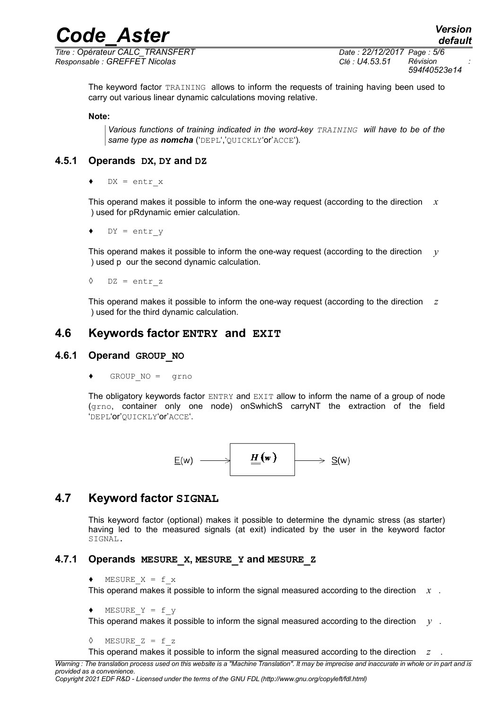*Titre : Opérateur CALC\_TRANSFERT Date : 22/12/2017 Page : 5/6 Responsable : GREFFET Nicolas Clé : U4.53.51 Révision :*

*594f40523e14*

The keyword factor TRAINING allows to inform the requests of training having been used to carry out various linear dynamic calculations moving relative.

#### **Note:**

*Various functions of training indicated in the word-key TRAINING will have to be of the same type as nomcha* ('DEPL','QUICKLY'or'ACCE')*.*

#### **4.5.1 Operands DX, DY and DZ**

 $DX = entr x$ 

This operand makes it possible to inform the one-way request (according to the direction *x* ) used for pRdynamic emier calculation.

 $DY = entr$  y

This operand makes it possible to inform the one-way request (according to the direction *y* ) used p our the second dynamic calculation.

◊ DZ = entr\_z

This operand makes it possible to inform the one-way request (according to the direction *z* ) used for the third dynamic calculation.

#### **4.6 Keywords factor ENTRY and EXIT**

#### **4.6.1 Operand GROUP\_NO**

 $GROUP NO = qrno$ 

The obligatory keywords factor ENTRY and EXIT allow to inform the name of a group of node (grno, container only one node) onSwhichS carryNT the extraction of the field 'DEPL'or'QUICKLY'or'ACCE'.

$$
\underline{E}(w) \longrightarrow \boxed{\underline{H}(w)} \longrightarrow \underline{S}(w)
$$

#### **4.7 Keyword factor SIGNAL**

This keyword factor (optional) makes it possible to determine the dynamic stress (as starter) having led to the measured signals (at exit) indicated by the user in the keyword factor SIGNAL.

#### **4.7.1 Operands MESURE\_X, MESURE\_Y and MESURE\_Z**

```
\triangleleft MESURE X = f x
```
This operand makes it possible to inform the signal measured according to the direction *x* .

```
\blacklozenge MESURE Y = f y
```
This operand makes it possible to inform the signal measured according to the direction *y* .

```
\Diamond MESURE Z = f z
```
This operand makes it possible to inform the signal measured according to the direction *z* .

*Warning : The translation process used on this website is a "Machine Translation". It may be imprecise and inaccurate in whole or in part and is provided as a convenience.*

*Copyright 2021 EDF R&D - Licensed under the terms of the GNU FDL (http://www.gnu.org/copyleft/fdl.html)*